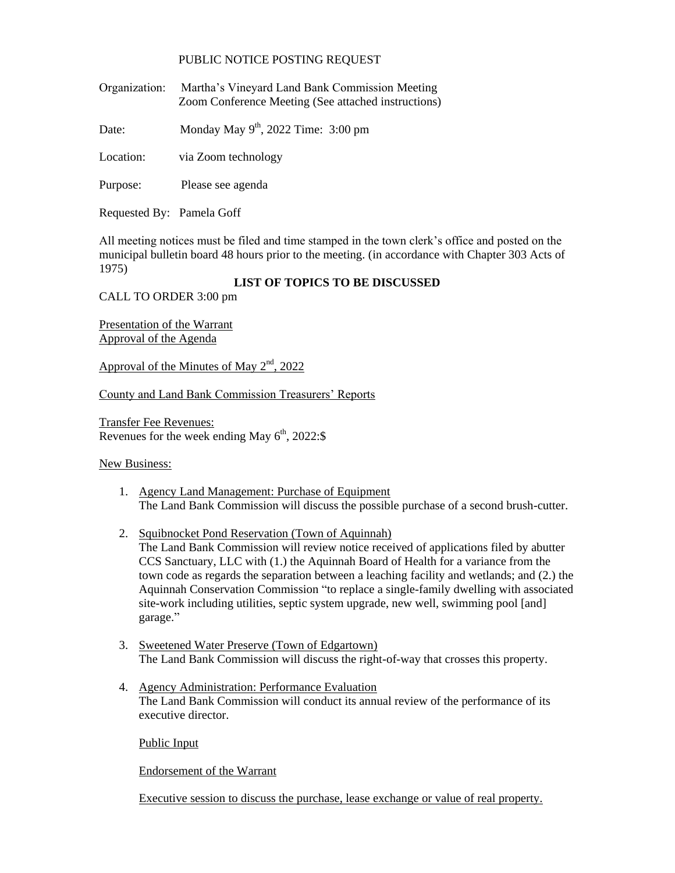## PUBLIC NOTICE POSTING REQUEST

Organization: Martha's Vineyard Land Bank Commission Meeting Zoom Conference Meeting (See attached instructions)

Date: Monday May  $9<sup>th</sup>$ , 2022 Time: 3:00 pm

Location: via Zoom technology

Purpose: Please see agenda

Requested By: Pamela Goff

All meeting notices must be filed and time stamped in the town clerk's office and posted on the municipal bulletin board 48 hours prior to the meeting. (in accordance with Chapter 303 Acts of 1975)

## **LIST OF TOPICS TO BE DISCUSSED**

CALL TO ORDER 3:00 pm

Presentation of the Warrant Approval of the Agenda

Approval of the Minutes of May  $2<sup>nd</sup>$ , 2022

County and Land Bank Commission Treasurers' Reports

Transfer Fee Revenues: Revenues for the week ending May  $6<sup>th</sup>$ , 2022: \$

New Business:

- 1. Agency Land Management: Purchase of Equipment The Land Bank Commission will discuss the possible purchase of a second brush-cutter.
- 2. Squibnocket Pond Reservation (Town of Aquinnah) The Land Bank Commission will review notice received of applications filed by abutter CCS Sanctuary, LLC with (1.) the Aquinnah Board of Health for a variance from the town code as regards the separation between a leaching facility and wetlands; and (2.) the Aquinnah Conservation Commission "to replace a single-family dwelling with associated site-work including utilities, septic system upgrade, new well, swimming pool [and] garage."
- 3. Sweetened Water Preserve (Town of Edgartown) The Land Bank Commission will discuss the right-of-way that crosses this property.
- 4. Agency Administration: Performance Evaluation The Land Bank Commission will conduct its annual review of the performance of its executive director.

Public Input

Endorsement of the Warrant

Executive session to discuss the purchase, lease exchange or value of real property.